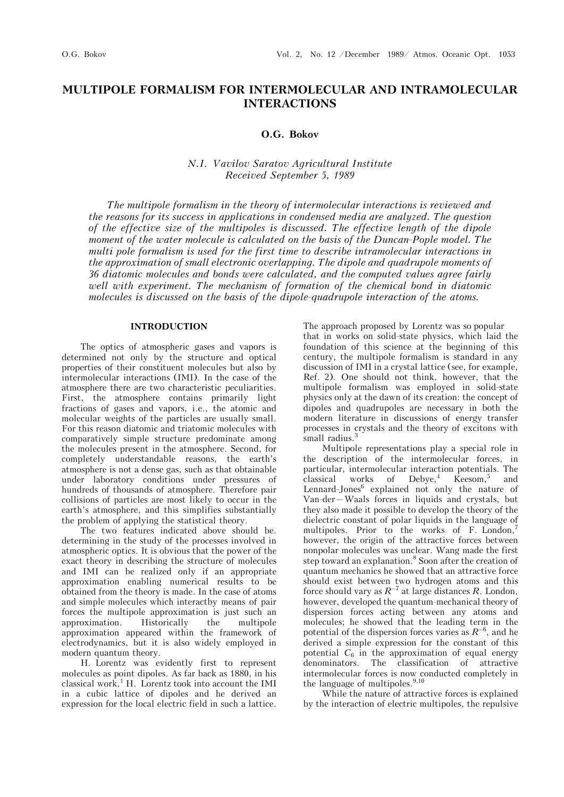# **MULTIPOLE FORMALISM FOR INTERMOLECULAR AND INTRAMOLECULAR INTERACTIONS**

**O.G. Bokov** 

# *N.I. Vavilov Saratov Agricultural Institute Received September 5, 1989*

*The multipole formalism in the theory of intermolecular interactions is reviewed and the reasons for its success in applications in condensed media are analyzed. The question of the effective size of the multipoles is discussed. The effective length of the dipole moment of the water molecule is calculated on the basis of the Duncan-Pople model. The multi pole formalism is used for the first time to describe intramolecular interactions in the approximation of small electronic overlapping. The dipole and quadrupole moments of 36 diatomic molecules and bonds were calculated, and the computed values agree fairly well with experiment. The mechanism of formation of the chemical bond in diatomic molecules is discussed on the basis of the dipole-quadrupole interaction of the atoms.*

## **INTRODUCTION**

The optics of atmospheric gases and vapors is determined not only by the structure and optical properties of their constituent molecules but also by intermolecular interactions (IMI). In the case of the atmosphere there are two characteristic peculiarities. First, the atmosphere contains primarily light fractions of gases and vapors, i.e., the atomic and molecular weights of the particles are usually small. For this reason diatomic and triatomic molecules with comparatively simple structure predominate among the molecules present in the atmosphere. Second, for completely understandable reasons, the earth's atmosphere is not a dense gas, such as that obtainable under laboratory conditions under pressures of hundreds of thousands of atmosphere. Therefore pair collisions of particles are most likely to occur in the earth's atmosphere, and this simplifies substantially the problem of applying the statistical theory.

The two features indicated above should be. determining in the study of the processes involved in atmospheric optics. It is obvious that the power of the exact theory in describing the structure of molecules and IMI can be realized only if an appropriate approximation enabling numerical results to be obtained from the theory is made. In the case of atoms and simple molecules which interactby means of pair forces the multipole approximation is just such an approximation. Historically the multipole approximation appeared within the framework of electrodynamics, but it is also widely employed in modern quantum theory.

H. Lorentz was evidently first to represent molecules as point dipoles. As far back as 1880, in his classical work,<sup>1</sup> H. Lorentz took into account the IMI in a cubic lattice of dipoles and he derived an expression for the local electric field in such a lattice.

The approach proposed by Lorentz was so popular that in works on solid-state physics, which laid the foundation of this science at the beginning of this century, the multipole formalism is standard in any discussion of IMI in a crystal lattice (see, for example, Ref. 2). One should not think, however, that the multipole formalism was employed in solid-state physics only at the dawn of its creation: the concept of dipoles and quadrupoles are necessary in both the modern literature in discussions of energy transfer processes in crystals and the theory of excitons with small radius.<sup>3</sup>

Multipole representations play a special role in the description of the intermolecular forces, in particular, intermolecular interaction potentials. The  $classical$  works of Debye,<sup>4</sup> Keesom,<sup>5</sup> and Lennard-Jones<sup>6</sup> explained not only the nature of Van-der—Waals forces in liquids and crystals, but they also made it possible to develop the theory of the dielectric constant of polar liquids in the language of multipoles. Prior to the works of F. London,<sup>7</sup> however, the origin of the attractive forces between nonpolar molecules was unclear. Wang made the first step toward an explanation.<sup>8</sup> Soon after the creation of quantum mechanics he showed that an attractive force should exist between two hydrogen atoms and this force should vary as  $R^{-7}$  at large distances *R*. London, however, developed the quantum-mechanical theory of dispersion forces acting between any atoms and molecules; he showed that the leading term in the potential of the dispersion forces varies as  $R^{-6}$ , and he derived a simple expression for the constant of this potential  $C_6$  in the approximation of equal energy denominators. The classification of attractive intermolecular forces is now conducted completely in the language of multipoles. $9,10$ 

While the nature of attractive forces is explained by the interaction of electric multipoles, the repulsive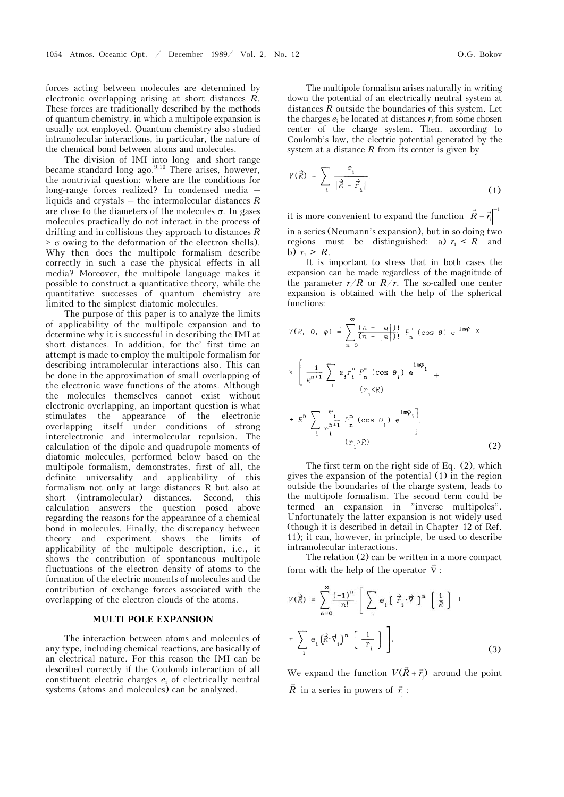forces acting between molecules are determined by electronic overlapping arising at short distances *R*. These forces are traditionally described by the methods of quantum chemistry, in which a multipole expansion is usually not employed. Quantum chemistry also studied intramolecular interactions, in particular, the nature of the chemical bond between atoms and molecules.

The division of IMI into long- and short-range became standard long ago.<sup>9,10</sup> There arises, however, the nontrivial question: where are the conditions for long-range forces realized? In condensed media – liquids and crystals – the intermolecular distances *R* are close to the diameters of the molecules  $\sigma$ . In gases molecules practically do not interact in the process of drifting and in collisions they approach to distances *R*  $\geq \sigma$  owing to the deformation of the electron shells). Why then does the multipole formalism describe correctly in such a case the physical effects in all media? Moreover, the multipole language makes it possible to construct a quantitative theory, while the quantitative successes of quantum chemistry are limited to the simplest diatomic molecules.

The purpose of this paper is to analyze the limits of applicability of the multipole expansion and to determine why it is successful in describing the IMI at short distances. In addition, for the' first time an attempt is made to employ the multipole formalism for describing intramolecular interactions also. This can be done in the approximation of small overlapping of the electronic wave functions of the atoms. Although the molecules themselves cannot exist without electronic overlapping, an important question is what stimulates the appearance of the electronic overlapping itself under conditions of strong interelectronic and intermolecular repulsion. The calculation of the dipole and quadrupole moments of diatomic molecules, performed below based on the multipole formalism, demonstrates, first of all, the definite universality and applicability of this formalism not only at large distances R but also at short (intramolecular) distances. Second, this calculation answers the question posed above regarding the reasons for the appearance of a chemical bond in molecules. Finally, the discrepancy between theory and experiment shows the limits of applicability of the multipole description, i.e., it shows the contribution of spontaneous multipole fluctuations of the electron density of atoms to the formation of the electric moments of molecules and the contribution of exchange forces associated with the overlapping of the electron clouds of the atoms.

#### **MULTI POLE EXPANSION**

The interaction between atoms and molecules of any type, including chemical reactions, are basically of an electrical nature. For this reason the IMI can be described correctly if the Coulomb interaction of all constituent electric charges *e*i of electrically neutral systems (atoms and molecules) can be analyzed.

The multipole formalism arises naturally in writing down the potential of an electrically neutral system at distances *R* outside the boundaries of this system. Let the charges  $e_i$  be located at distances  $r_i$  from some chosen center of the charge system. Then, according to Coulomb's law, the electric potential generated by the system at a distance  $R$  from its center is given by

$$
V(\vec{R}) = \sum_{\mathbf{i}} \frac{e_{\mathbf{i}}}{|\vec{R} - \vec{r}_{\mathbf{i}}|}.
$$
 (1)

it is more convenient to expand the function  $\left| \vec{R} - \vec{r} \right|^{-1}$  $R$  –  $\bar{r}$ in a series (Neumann's expansion), but in so doing two regions must be distinguished: a)  $r_i \leq R$  and b)  $r_i > R$ .

It is important to stress that in both cases the expansion can be made regardless of the magnitude of the parameter  $r/R$  or  $R/r$ . The so-called one center expansion is obtained with the help of the spherical functions:

$$
V(R, \theta, \varphi) = \sum_{n=0}^{\infty} \frac{(\pi - |m|)!}{(\pi + |m|)!} P_n^m \left(\cos \theta\right) e^{-im\varphi} \times
$$
  

$$
\times \left[\frac{1}{R^{n+1}} \sum_i e_i r_i^n P_n^m \left(\cos \theta_i\right) e^{\sin \varphi_i} +
$$
  

$$
+ R^n \sum_i \frac{e_i}{r_i^{n+1}} P_n^m \left(\cos \theta_i\right) e^{\sin \varphi_i} \right].
$$

 $(r, >R)$ 

The first term on the right side of Eq. (2), which gives the expansion of the potential (1) in the region outside the boundaries of the charge system, leads to the multipole formalism. The second term could be termed an expansion in "inverse multipoles". Unfortunately the latter expansion is not widely used (though it is described in detail in Chapter 12 of Ref. 11); it can, however, in principle, be used to describe intramolecular interactions.

The relation (2) can be written in a more compact form with the help of the operator  $\nabla$ :

$$
V(\vec{R}) = \sum_{n=0}^{\infty} \frac{(-1)^n}{n!} \left[ \sum_{i} e_i \left( \vec{r}_i \cdot \vec{\nabla} \right)^n \left( \frac{1}{R} \right) + \sum_{i} e_i \left( \vec{R} \cdot \vec{\nabla} \right)^n \left( \frac{1}{r_i} \right) \right].
$$
\n(3)

We expand the function  $V(\vec{R} + \vec{r})$  $V(R + \vec{r}_j)$  around the point  $\vec{R}$  in a series in powers of  $\vec{r}_j$ :

(2)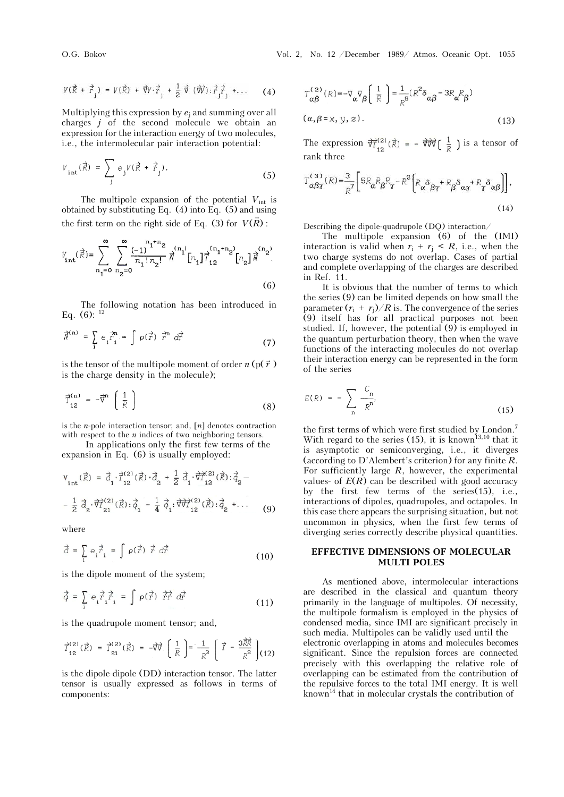$$
V(\vec{R} + \vec{r}_j) = V(\vec{R}) + \vec{\nabla} \cdot \vec{r}_j + \frac{1}{2} \vec{\nabla} (\vec{\nabla} \cdot) : \vec{r}_j \vec{r}_j + ... \qquad (4)
$$

Multiplying this expression by *e*j and summing over all charges *j* of the second molecule we obtain an expression for the interaction energy of two molecules, i.e., the intermolecular pair interaction potential:

$$
V_{\text{int}}(\vec{R}) = \sum_{j} e_{j} V(\vec{R} + \vec{r}_{j}).
$$
 (5)

The multipole expansion of the potential  $V_{\text{int}}$  is obtained by substituting Eq.  $(4)$  into Eq.  $(5)$  and using the first term on the right side of Eq. (3) for  $V(R)$ :

$$
V_{int}(\vec{R}) = \sum_{n_1=0}^{\infty} \sum_{n_2=0}^{\infty} \frac{(-1)^{n_1+n_2}}{n_1! n_2!} \vec{R}^{(n_1)}[n_1] \vec{T}_{12}^{(n_1+n_2)}[n_2] \vec{R}^{(n_2)}.
$$
\n(6)

The following notation has been introduced in Eq.  $(6)$ :  $^{12}$ 

$$
\vec{\pi}^{(n)} = \sum_{i} e_i^{\frac{-\gamma n}{r_i}} = \int \rho(\vec{r}) \ \vec{r}^n \ d\vec{r}
$$
 (7)

is the tensor of the multipole moment of order  $n (p(\vec{r}))$ is the charge density in the molecule);

$$
\vec{\tau}_{12}^{(n)} = -\vec{\nabla}^n \begin{bmatrix} 1 \\ \vec{R} \end{bmatrix}
$$
 (8)

is the *n*-pole interaction tensor; and, [*n*] denotes contraction with respect to the *n* indices of two neighboring tensors.

In applications only the first few terms of the expansion in Eq. (6) is usually employed:

$$
V_{int}(\vec{R}) = \vec{d}_{1} \cdot \vec{T}_{12}^{(2)}(\vec{R}) \cdot \vec{d}_{2} + \frac{1}{2} \vec{d}_{1} \cdot \vec{\nabla}_{12}^{(2)}(\vec{R}) \cdot \vec{d}_{2} - \frac{1}{2} \vec{d}_{2} \cdot \vec{\nabla}_{21}^{(2)}(\vec{R}) \cdot \vec{d}_{1} - \frac{1}{4} \vec{d}_{1} \cdot \vec{\nabla}_{12}^{(2)}(\vec{R}) \cdot \vec{d}_{2} + \dots
$$
(9)

where

$$
\vec{a} = \sum_{i} e_i \vec{r}_i = \int \rho(\vec{r}) \ \vec{r} \ d\vec{r}
$$
 (10)

is the dipole moment of the system;

$$
\vec{q} = \sum_{\mathbf{i}} e_{\mathbf{i}} \vec{r}_{\mathbf{i}} \vec{r}_{\mathbf{i}} = \int \rho(\vec{r}) \vec{r} \vec{r} \, d\vec{r}
$$
 (11)

is the quadrupole moment tensor; and,

$$
\vec{T}_{12}^{(2)}(\vec{R}) = \vec{T}_{21}^{(2)}(\vec{R}) = -\vec{\nabla}\vec{\nabla} \left[ \frac{1}{R} \right] = \frac{1}{R^3} \left[ \vec{T} - \frac{3\vec{R}\vec{R}}{R^2} \right] (12)
$$

is the dipole-dipole (DD) interaction tensor. The latter tensor is usually expressed as follows in terms of components:

$$
T_{\alpha\beta}^{(2)}(R) = -\nabla_{\alpha}\nabla_{\beta}\left(\frac{1}{R}\right) = \frac{1}{R^{5}}(R^{2}\delta_{\alpha\beta} - 3R_{\alpha}R_{\beta})
$$
  
( $\alpha, \beta = x, y, z$ ). (13)

The expression  $\overrightarrow{\nabla}^{(2)}_{12}(\vec{R}) = - \overrightarrow{\nabla}\overrightarrow{\nabla}(\frac{1}{\vec{R}})$  is a tensor of rank three

$$
T_{\alpha\beta\gamma}^{(3)}(R) = \frac{3}{R^7} \left[ 5R_{\alpha}R_{\beta}R_{\gamma} - R^2 \left[ R_{\alpha} \delta_{\beta\gamma} + R_{\beta} \delta_{\alpha\gamma} + R_{\gamma} \delta_{\alpha\beta} \right] \right],
$$
\n(14)

Describing the dipole-quadrupole (DQ) interaction/

The multipole expansion (6) of the (IMI) interaction is valid when  $r_i + r_i \leq R$ , i.e., when the two charge systems do not overlap. Cases of partial and complete overlapping of the charges are described in Ref. 11.

It is obvious that the number of terms to which the series (9) can be limited depends on how small the parameter  $(r_i + r_i)/R$  is. The convergence of the series (9) itself has for all practical purposes not been studied. If, however, the potential (9) is employed in the quantum perturbation theory, then when the wave functions of the interacting molecules do not overlap their interaction energy can be represented in the form of the series

$$
E(R) = -\sum_{n} \frac{C_n}{R^n},
$$
\n(15)

the first terms of which were first studied by London.<sup>7</sup> With regard to the series (15), it is known<sup>13,10</sup> that it is asymptotic or semiconverging, i.e., it diverges (according to D'Alembert's criterion) for any finite *R*. For sufficiently large *R*, however, the experimental values- of  $E(R)$  can be described with good accuracy by the first few terms of the series(15), i.e., interactions of dipoles, quadrupoles, and octapoles. In this case there appears the surprising situation, but not uncommon in physics, when the first few terms of diverging series correctly describe physical quantities.

### **EFFECTIVE DIMENSIONS OF MOLECULAR MULTI POLES**

As mentioned above, intermolecular interactions are described in the classical and quantum theory primarily in the language of multipoles. Of necessity, the multipole formalism is employed in the physics of condensed media, since IMI are significant precisely in such media. Multipoles can be validly used until the electronic overlapping in atoms and molecules becomes significant. Since the repulsion forces are connected precisely with this overlapping the relative role of overlapping can be estimated from the contribution of the repulsive forces to the total IMI energy. It is well known<sup>14</sup> that in molecular crystals the contribution of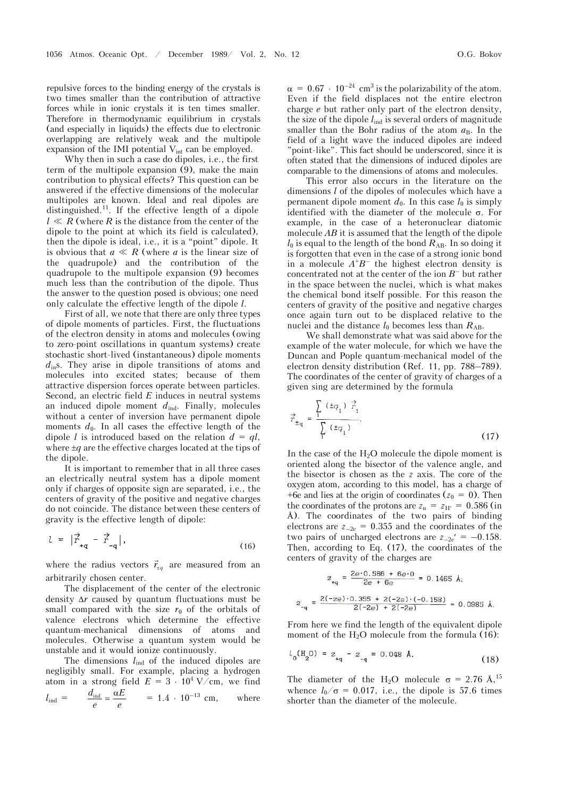repulsive forces to the binding energy of the crystals is two times smaller than the contribution of attractive forces while in ionic crystals it is ten times smaller. Therefore in thermodynamic equilibrium in crystals (and especially in liquids) the effects due to electronic overlapping are relatively weak and the multipole expansion of the IMI potential  $V_{int}$  can be employed.

Why then in such a case do dipoles, i.e., the first term of the multipole expansion (9), make the main contribution to physical effects? This question can be answered if the effective dimensions of the molecular multipoles are known. Ideal and real dipoles are distinguished.11. If the effective length of a dipole  $l \ll R$  (where *R* is the distance from the center of the dipole to the point at which its field is calculated), then the dipole is ideal, i.e., it is a "point" dipole. It is obvious that  $a \ll R$  (where *a* is the linear size of the quadrupole) and the contribution of the quadrupole to the multipole expansion (9) becomes much less than the contribution of the dipole. Thus the answer to the question posed is obvious; one need only calculate the effective length of the dipole *l*.

First of all, we note that there are only three types of dipole moments of particles. First, the fluctuations of the electron density in atoms and molecules (owing to zero-point oscillations in quantum systems) create stochastic short-lived (instantaneous) dipole moments *d*ins. They arise in dipole transitions of atoms and molecules into excited states; because of them attractive dispersion forces operate between particles. Second, an electric field *E* induces in neutral systems an induced dipole moment  $d_{ind}$ . Finally, molecules without a center of inversion have permanent dipole moments  $d_0$ . In all cases the effective length of the dipole *l* is introduced based on the relation  $d = ql$ , where  $\pm q$  are the effective charges located at the tips of the dipole.

It is important to remember that in all three cases an electrically neutral system has a dipole moment only if charges of opposite sign are separated, i.e., the centers of gravity of the positive and negative charges do not coincide. The distance between these centers of gravity is the effective length of dipole:

$$
l = |\vec{r}_{+q} - \vec{r}_{-q}|, \qquad (16)
$$

where the radius vectors  $\vec{r}_{\text{fq}}$  are measured from an arbitrarily chosen center.

The displacement of the center of the electronic density  $\Delta r$  caused by quantum fluctuations must be small compared with the size  $r_0$  of the orbitals of valence electrons which determine the effective quantum-mechanical dimensions of atoms and molecules. Otherwise a quantum system would be unstable and it would ionize continuously.

The dimensions  $l_{\text{ind}}$  of the induced dipoles are negligibly small. For example, placing a hydrogen atom in a strong field  $E = 3 \cdot 10^4$  V/cm, we find  $l_{\text{ind}} = \frac{d_{\text{ind}}}{e} = \frac{\alpha E}{e}$  $= 1.4 \cdot 10^{-13}$  cm, where

 $\alpha = 0.67 \cdot 10^{-24}$  cm<sup>3</sup> is the polarizability of the atom. Even if the field displaces not the entire electron charge *e* but rather only part of the electron density, the size of the dipole  $l_{ind}$  is several orders of magnitude smaller than the Bohr radius of the atom  $a_B$ . In the field of a light wave the induced dipoles are indeed "point-like". This fact should be underscored, since it is often stated that the dimensions of induced dipoles are comparable to the dimensions of atoms and molecules.

This error also occurs in the literature on the dimensions *l* of the dipoles of molecules which have a permanent dipole moment  $d_0$ . In this case  $l_0$  is simply identified with the diameter of the molecule  $\sigma$ . For example, in the case of a heteronuclear diatomic molecule *AB* it is assumed that the length of the dipole  $l_0$  is equal to the length of the bond  $R_{AB}$ . In so doing it is forgotten that even in the case of a strong ionic bond in a molecule  $A^{\dagger}B^-$  the highest electron density is concentrated not at the center of the ion  $B^-$  but rather in the space between the nuclei, which is what makes the chemical bond itself possible. For this reason the centers of gravity of the positive and negative charges once again turn out to be displaced relative to the nuclei and the distance  $l_0$  becomes less than  $R_{AB}$ .

We shall demonstrate what was said above for the example of the water molecule, for which we have the Duncan and Pople quantum-mechanical model of the electron density distribution (Ref. 11, pp.  $788-789$ ). The coordinates of the center of gravity of charges of a given sing are determined by the formula

$$
\vec{r}_{\pm q} = \frac{\sum_{i} ( \pm q_i ) \vec{r}_i}{\sum_{i} ( \pm q_i )}.
$$
 (17)

In the case of the  $H<sub>2</sub>O$  molecule the dipole moment is oriented along the bisector of the valence angle, and the bisector is chosen as the *z* axis. The core of the oxygen atom, according to this model, has a charge of +6e and lies at the origin of coordinates ( $z_0 = 0$ ). Then the coordinates of the protons are  $z_{\text{H}} = z_{\text{H'}} = 0.586$  (in Å). The coordinates of the two pairs of binding electrons are  $z_{-2e} = 0.355$  and the coordinates of the two pairs of uncharged electrons are  $z_{-2e}' = -0.158$ . Then, according to Eq. (17), the coordinates of the centers of gravity of the charges are

$$
z_{\text{+q}} = \frac{2e \cdot 0.586 + 6e \cdot 0}{2e + 6e} = 0.1465 \text{ A};
$$

$$
z_{\text{-q}} = \frac{2(-ze) \cdot 0.355 + 2(-2e) \cdot (-0.158)}{2(-2e) + 2(-2e)} = 0.0985 \text{ A}
$$

From here we find the length of the equivalent dipole moment of the  $H_2O$  molecule from the formula (16):

$$
l_0(\text{H}_2\text{O}) = z_{+q} - z_{-q} = 0.048 \text{ \AA}. \tag{18}
$$

The diameter of the H<sub>2</sub>O molecule  $\sigma = 2.76$  Å,<sup>15</sup> whence  $l_0/\sigma = 0.017$ , i.e., the dipole is 57.6 times shorter than the diameter of the molecule.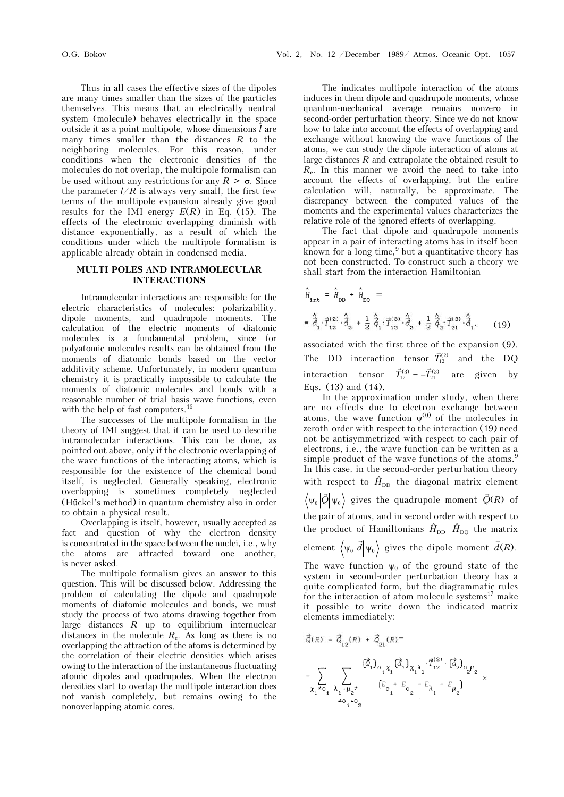Thus in all cases the effective sizes of the dipoles are many times smaller than the sizes of the particles themselves. This means that an electrically neutral system (molecule) behaves electrically in the space outside it as a point multipole, whose dimensions *l* are many times smaller than the distances *R* to the neighboring molecules. For this reason, under conditions when the electronic densities of the molecules do not overlap, the multipole formalism can be used without any restrictions for any  $R > \sigma$ . Since the parameter  $l/R$  is always very small, the first few terms of the multipole expansion already give good results for the IMI energy  $E(R)$  in Eq. (15). The effects of the electronic overlapping diminish with distance exponentially, as a result of which the conditions under which the multipole formalism is applicable already obtain in condensed media.

#### **MULTI POLES AND INTRAMOLECULAR INTERACTIONS**

Intramolecular interactions are responsible for the electric characteristics of molecules: polarizability, dipole moments, and quadrupole moments. The calculation of the electric moments of diatomic molecules is a fundamental problem, since for polyatomic molecules results can be obtained from the moments of diatomic bonds based on the vector additivity scheme. Unfortunately, in modern quantum chemistry it is practically impossible to calculate the moments of diatomic molecules and bonds with a reasonable number of trial basis wave functions, even with the help of fast computers.16

The successes of the multipole formalism in the theory of IMI suggest that it can be used to describe intramolecular interactions. This can be done, as pointed out above, only if the electronic overlapping of the wave functions of the interacting atoms, which is responsible for the existence of the chemical bond itself, is neglected. Generally speaking, electronic overlapping is sometimes completely neglected (Hückel's method) in quantum chemistry also in order to obtain a physical result.

Overlapping is itself, however, usually accepted as fact and question of why the electron density is concentrated in the space between the nuclei, i.e., why the atoms are attracted toward one another, is never asked.

The multipole formalism gives an answer to this question. This will be discussed below. Addressing the problem of calculating the dipole and quadrupole moments of diatomic molecules and bonds, we must study the process of two atoms drawing together from large distances *R* up to equilibrium internuclear distances in the molecule  $R_e$ . As long as there is no overlapping the attraction of the atoms is determined by the correlation of their electric densities which arises owing to the interaction of the instantaneous fluctuating atomic dipoles and quadrupoles. When the electron densities start to overlap the multipole interaction does not vanish completely, but remains owing to the nonoverlapping atomic cores.

The indicates multipole interaction of the atoms induces in them dipole and quadrupole moments, whose quantum-mechanical average remains nonzero in second-order perturbation theory. Since we do not know how to take into account the effects of overlapping and exchange without knowing the wave functions of the atoms, we can study the dipole interaction of atoms at large distances *R* and extrapolate the obtained result to *R*e. In this manner we avoid the need to take into account the effects of overlapping, but the entire calculation will, naturally, be approximate. The discrepancy between the computed values of the moments and the experimental values characterizes the relative role of the ignored effects of overlapping.

The fact that dipole and quadrupole moments appear in a pair of interacting atoms has in itself been known for a long time,<sup>9</sup> but a quantitative theory has not been constructed. To construct such a theory we shall start from the interaction Hamiltonian

$$
\hat{H}_{int} = \hat{H}_{DD} + \hat{H}_{DQ} =
$$
\n
$$
= \hat{d}_{1} \cdot \vec{r}_{12}^{(2)} \cdot \hat{d}_{2} + \frac{1}{2} \hat{d}_{1} \cdot \vec{r}_{12}^{(3)} \cdot \hat{d}_{2} + \frac{1}{2} \hat{d}_{2} \cdot \vec{r}_{21}^{(3)} \cdot \hat{d}_{1},
$$
\n(19)

associated with the first three of the expansion (9). The DD interaction tensor  $\vec{T}_{12}^{(2)}$  and the DO interaction tensor  $\vec{T}_{12}^{(3)} = -\vec{T}_{21}^{(3)}$  are given by Eqs. (13) and (14).

In the approximation under study, when there are no effects due to electron exchange between atoms, the wave function  $\psi^{(0)}$  of the molecules in zeroth-order with respect to the interaction (19) need not be antisymmetrized with respect to each pair of electrons, i.e., the wave function can be written as a simple product of the wave functions of the atoms.<sup>9</sup> In this case, in the second-order perturbation theory with respect to  $\hat{H}_{\text{DD}}$  the diagonal matrix element  $\Psi_0$   $|Q|\Psi$  $\int_{0} \left| \vec{Q} \right| \psi_{0}$  gives the quadrupole moment  $\vec{Q}(R)$  of the pair of atoms, and in second order with respect to the product of Hamiltonians  $\hat{H}_{DD}$   $\hat{H}_{DQ}$  the matrix element  $\langle \psi_0 | d | \psi$  $\overline{a}$  $\int_0^1 |d| \Psi_0$  gives the dipole moment  $\overline{a}$  $d(R)$ .

The wave function  $\psi_0$  of the ground state of the system in second-order perturbation theory has a quite complicated form, but the diagrammatic rules for the interaction of atom-molecule systems $^{17}$  make it possible to write down the indicated matrix elements immediately:

$$
\vec{Q}(R) = \vec{Q}_{12}(R) + \vec{Q}_{21}(R) =
$$
\n
$$
= \sum_{\chi_1 \neq 0} \sum_{\lambda_1 + \mu_2 \neq \lambda_2 + \cdots + \mu_{2n}} \frac{(\vec{Q}_1)_{0_1 \chi_1} (\vec{d}_1)_{\chi_1 \lambda_1} \cdot \vec{T}_{12}^{(2)} \cdot (\vec{d}_2)_{0_2 \mu_2}}{[E_{0_1} + E_{0_2} - E_{\lambda_1} - E_{\mu_2}]} \times
$$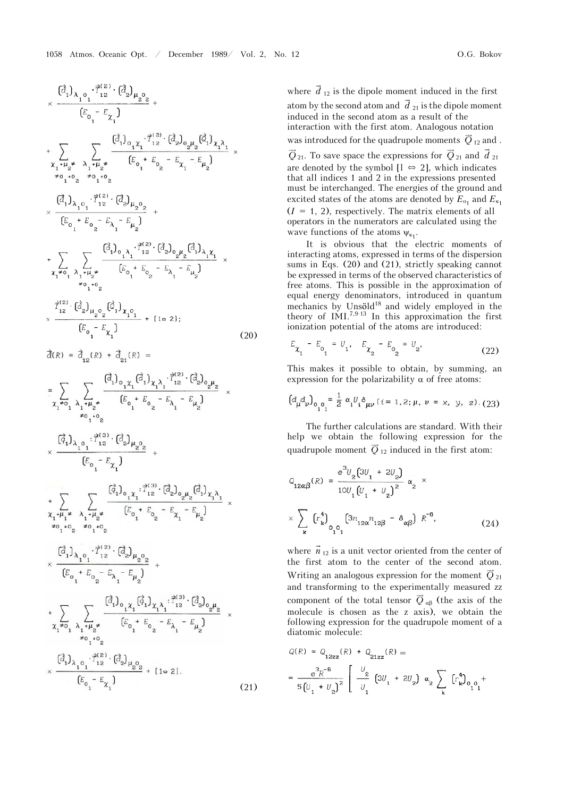$$
\times \frac{(\vec{a}_{1})_{\lambda_{1}0_{1}} \cdot \vec{T}_{12}^{(2)} \cdot (\vec{a}_{2})_{\mu_{2}0_{2}}}{(E_{0_{1}} - E_{\chi_{1}})} \n+ \sum_{\chi_{1}+\mu_{2} \neq} \sum_{\lambda_{1}+\mu_{2} \neq} \frac{(\vec{a}_{1})_{0_{1}\chi_{1}} \cdot \vec{T}_{12}^{(2)} \cdot (\vec{a}_{2})_{0_{2}\mu_{2}} (\vec{a}_{1})_{\chi_{1}\lambda_{1}}}{(E_{0_{1}} + E_{0_{2}} - E_{\chi_{1}} - E_{\mu_{2}})} \times \n+ \sum_{\chi_{1}+\chi_{2}+\chi_{1}+\chi_{2}+\chi_{2}} \frac{(\vec{a}_{1})_{\lambda_{1}0_{1}} \cdot \vec{T}_{12}^{(2)} \cdot (\vec{a}_{2})_{\mu_{2}0_{2}}}{(E_{0_{1}} + E_{0_{2}} - E_{\lambda_{1}} - E_{\mu_{2}})} + \n+ \sum_{\chi_{1}+\chi_{1}} \sum_{\lambda_{1}+\mu_{2} \neq} \frac{(\vec{a}_{1})_{0_{1}\lambda_{1}} \cdot \vec{T}_{12}^{(2)} \cdot (\vec{a}_{2})_{0_{2}\mu_{2}} (\vec{a}_{1})_{\lambda_{1}\chi_{1}}}{(E_{0_{1}} + E_{0_{2}} - E_{\lambda_{1}} - E_{\mu_{2}})} \times \n+ \sum_{\chi_{1}+\chi_{1}} \sum_{\chi_{1}+\chi_{2}+\chi_{2}} \frac{(\vec{a}_{1})_{0_{1}\lambda_{1}} \cdot \vec{T}_{12}^{(2)} \cdot (\vec{a}_{2})_{0_{2}\mu_{2}} (\vec{a}_{1})_{\lambda_{1}\chi_{1}}}{(E_{0_{1}} - E_{\chi_{1}})} \times \frac{\vec{T}_{12}^{(2)} \cdot (\vec{a}_{2})_{\mu_{2}0_{2}} (\vec{a}_{1})_{\chi_{1}0_{1}}}{(E_{0_{1}} - E_{\chi_{1}})} + [10 2];
$$
\n(20)  
\n
$$
\vec{\chi_{1}} = \vec{\chi_{1}} \sum_{\chi_{1}+\chi_{1}} \frac{(\vec{a}_{1})_{0_{1}\chi_{1}} (\vec{a}_{1})_{\chi_{1}\lambda_{1}} \cdot \vec{T}_{12}^{(2)} \cdot (\vec{a}_{
$$

+ 
$$
\sum_{\chi_1 \neq 0} \sum_{\lambda_1 + \mu_2 \neq \atop \mu_0, \lambda_1 = 1} \frac{(\vec{a}_1)_{0_1 \chi_1} (\vec{a}_1)_{\chi_1 \lambda_1} : \vec{T}_{12}^{(3)} \cdot (\vec{a}_2)_{0_2 \mu_2}}{[E_{0_1} + E_{0_2} - E_{\lambda_1} - E_{\mu_2}]} \times
$$
  
\n
$$
\times \frac{(\vec{a}_1)_{\lambda_1 0_1} : \vec{T}_{12}^{(2)} \cdot (\vec{a}_2)_{\mu_2 0_2}}{[E_{0_1} - E_{\chi_1}]} + [1 \approx 2].
$$
 (21)

where  $\vec{d}_{12}$  is the dipole moment induced in the first atom by the second atom and  $\vec{d}_{21}$  is the dipole moment induced in the second atom as a result of the interaction with the first atom. Analogous notation was introduced for the quadrupole moments  $\vec{Q}_{12}$  and .  $\overline{Q}_{21}$ . To save space the expressions for  $\overline{Q}_{21}$  and  $\overline{d}_{21}$ are denoted by the symbol  $[1 \Leftrightarrow 2]$ , which indicates that all indices 1 and 2 in the expressions presented must be interchanged. The energies of the ground and excited states of the atoms are denoted by  $E_{\rm o_1}$  and  $E_{\rm \kappa_1}$  $(I = 1, 2)$ , respectively. The matrix elements of all operators in the numerators are calculated using the

wave functions of the atoms  $\psi_{\kappa_1}$ . It is obvious that the electric moments of interacting atoms, expressed in terms of the dispersion sums in Eqs. (20) and (21), strictly speaking cannot be expressed in terms of the observed characteristics of free atoms. This is possible in the approximation of equal energy denominators, introduced in quantum mechanics by Unsöld $18$  and widely employed in the theory of IMI.<sup>7,9-13</sup> In this approximation the first ionization potential of the atoms are introduced:

$$
E_{\chi_1} - E_{o_1} = U_1, \quad E_{\chi_2} - E_{o_2} = U_2, \tag{22}
$$

This makes it possible to obtain, by summing, an expression for the polarizability  $\alpha$  of free atoms:

$$
\left(d_{\mu}d_{\nu}\right)_{0_{1}0_{1}} = \frac{1}{2} \alpha_{1} U_{1} \delta_{\mu\nu} \left(i = 1, 2; \mu, \nu = x, y, z\right). (23)
$$

The further calculations are standard. With their help we obtain the following expression for the quadrupole moment  $\overline{Q}_1$  induced in the first atom:

$$
Q_{12\alpha\beta}(R) = \frac{e^{3}U_{2}(3U_{1} + 2U_{2})}{10U_{1}(U_{1} + U_{2})^{2}} \alpha_{2} \times \sum_{k} (r_{k}^{4}) \sum_{0,0,1} (3n_{12\alpha}n_{12\beta} - \delta_{\alpha\beta}) R^{-6},
$$
\n(24)

where  $\vec{n}_{12}$  is a unit vector oriented from the center of the first atom to the center of the second atom. Writing an analogous expression for the moment  $\vec{Q}_{21}$ and transforming to the experimentally measured zz component of the total tensor  $\vec{Q}_{\alpha\beta}$  (the axis of the molecule is chosen as the z axis), we obtain the following expression for the quadrupole moment of a diatomic molecule:

$$
Q(R) = Q_{12zz}(R) + Q_{21zz}(R) =
$$
  
=  $\frac{e^3 R^{-6}}{5(U_1 + U_2)^2} \left[ \frac{U_2}{U_1} (3U_1 + 2U_2) \alpha_2 \sum_k (r_k^4)_{0,0} + \right]$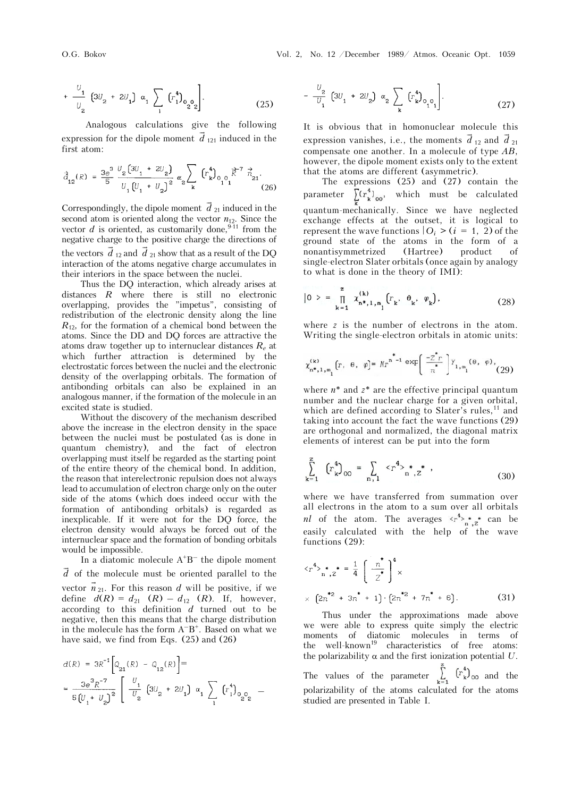$$
+\frac{U_1}{U_2} \left(3U_2 + 2U_1\right) \alpha_1 \sum_{1} \left(r_1^4\right)_{0} 0 \qquad (25)
$$

Analogous calculations give the following expression for the dipole moment  $\vec{d}_{121}$  induced in the first atom:

$$
\vec{\tilde{d}}_{12}(R) = \frac{3e^3}{5} \frac{v_2 \left(3v_1 + 2v_2\right)}{v_1 \left(v_1 + v_2\right)^2} \alpha_2 \sum_{\mathbf{k}} \left(r_{\mathbf{k}}^4\right)_{0.0} \vec{R}^7 \vec{n}_{21} \tag{26}
$$

Correspondingly, the dipole moment  $\vec{d}_{21}$  induced in the second atom is oriented along the vector  $n_{12}$ . Since the vector  $d$  is oriented, as customarily done,<sup>9-11</sup> from the negative charge to the positive charge the directions of the vectors  $\vec{d}_{12}$  and  $\vec{d}_{21}$  show that as a result of the DQ interaction of the atoms negative charge accumulates in their interiors in the space between the nuclei.

Thus the DQ interaction, which already arises at distances *R* where there is still no electronic overlapping, provides the "impetus", consisting of redistribution of the electronic density along the line  $R_{12}$ , for the formation of a chemical bond between the atoms. Since the DD and DQ forces are attractive the atoms draw together up to internuclear distances *Re* at which further attraction is determined by the electrostatic forces between the nuclei and the electronic density of the overlapping orbitals. The formation of antibonding orbitals can also be explained in an analogous manner, if the formation of the molecule in an excited state is studied.

Without the discovery of the mechanism described above the increase in the electron density in the space between the nuclei must be postulated (as is done in quantum chemistry), and the fact of electron overlapping must itself be regarded as the starting point of the entire theory of the chemical bond. In addition, the reason that interelectronic repulsion does not always lead to accumulation of electron charge only on the outer side of the atoms (which does indeed occur with the formation of antibonding orbitals) is regarded as inexplicable. If it were not for the DQ force, the electron density would always be forced out of the internuclear space and the formation of bonding orbitals would be impossible.

In a diatomic molecule  $A^{+}B^{-}$  the dipole moment  $\vec{d}$  of the molecule must be oriented parallel to the vector  $\vec{n}_{21}$ . For this reason *d* will be positive, if we define  $d(R) = d_{21} (R) - d_{12} (R)$ . If, however, according to this definition *d* turned out to be negative, then this means that the charge distribution in the molecule has the form  $A^{-}B^{+}$ . Based on what we have said, we find from Eqs. (25) and (26)

$$
\begin{array}{l} d(R) \; = \; 3R^{-1} \Big[ Q_{21}(R) \; - \; Q_{12}(R) \Big] = \\ \\ = \; \frac{3e^3 R^{-7}}{5 \left[ U_1 + \; U_2 \right]^2} \; \Bigg[ \begin{array}{c} U_1 \\ \hline U_2 \end{array} \Big[ 3U_2 \; + \; 2U_1 \Big] \;\; \alpha_1 \; \sum_{1} \; \left( \Gamma_1^4 \right)_{0} \hskip -3pt_{0} \hskip -3pt_{2} \hskip -3pt_{0} \; - \; \left( \Gamma_2^4 \right) \hskip -3pt_{0} \hskip -3pt_{0} \hskip -3pt_{0} \hskip -3pt_{0} \; \nabla_2 \; \partial_{1} \; \partial_{2} \; \partial_{1} \; \partial_{1} \; \partial_{1} \; \partial_{2} \; \partial_{2} \; \partial_{1} \; \partial_{1} \; \partial_{1} \; \partial_{1} \; \partial_{2} \; \partial_{2} \; \partial_{2} \; \partial_{1} \; \partial_{1} \; \partial_{1} \; \partial_{2} \; \partial_{2} \; \partial_{2} \; \partial_{2} \; \partial_{1} \; \partial_{1} \; \partial_{1} \; \partial_{1} \; \partial_{2} \; \partial_{2} \; \partial_{2} \; \partial_{2} \; \partial_{2} \; \partial_{2} \; \partial_{2} \; \partial_{2} \; \partial_{2} \; \partial_{2} \; \partial_{2} \; \partial_{2} \; \partial_{2} \; \partial_{2} \; \partial_{2} \; \partial_{2} \; \partial_{2} \; \partial_{2} \; \partial_{2} \; \partial_{2} \; \partial_{2} \; \partial_{2} \; \partial_{2} \; \partial_{2} \; \partial_{2} \; \partial_{2} \; \partial_{2} \; \partial_{2} \; \partial_{2} \; \partial_{2} \; \partial_{2} \; \partial_{2} \; \partial_{2} \; \partial_{2} \; \partial_{2} \; \partial_{2} \; \partial_{2} \; \partial_{2} \; \partial_{2} \; \partial_{2} \; \partial_{2} \; \partial_{2} \; \partial_{2} \; \partial_{2} \; \partial_{2} \; \partial_{2} \; \partial_{2} \; \partial_{2
$$

$$
-\frac{U_2}{U_1} \left(3U_1 + 2U_2\right) \alpha_2 \sum_{\mathbf{k}} \left(r_{\mathbf{k}}^4\right)_{0} \qquad (27)
$$

It is obvious that in homonuclear molecule this expression vanishes, i.e., the moments  $\vec{d}_{12}$  and  $\vec{d}_{21}$ compensate one another. In a molecule of type *AB*, however, the dipole moment exists only to the extent that the atoms are different (asymmetric).

The expressions (25) and (27) contain the parameter  $\sum_{k=0}^{\infty}$  ( $r_k^4$ )<sub>00</sub>, which must be calculated quantum-mechanically. Since we have neglected exchange effects at the outset, it is logical to represent the wave functions  $|O_i\rangle$  (*i* = 1, 2) of the ground state of the atoms in the form of a nonantisymmetrized (Hartree) product of single-electron Slater orbitals (once again by analogy to what is done in the theory of IMI):

$$
|0\rangle = \prod_{k=1}^{z} \chi_{n^*,1,m_1}^{(k)} [r_k, \theta_k, \varphi_k], \qquad (28)
$$

where *z* is the number of electrons in the atom. Writing the single-electron orbitals in atomic units:

$$
\chi^{(k)}_{n^*,1,\,m_1}\big(r,\;\;{\theta},\;\;\varphi\big)\!\!=\,N r^{n^*-1}\exp\bigg(\frac{-2\!\!\!r\,}r}{n}\bigg)\,Y_{1,\,m_1}({\theta},\;\;\varphi)\,,\eqno(29)
$$

where *n*\* and *z*\* are the effective principal quantum number and the nuclear charge for a given orbital, which are defined according to Slater's rules,<sup>11</sup> and taking into account the fact the wave functions (29) are orthogonal and normalized, the diagonal matrix elements of interest can be put into the form

$$
\sum_{k=1}^{z} (r_k^4)_{00} = \sum_{n,1} \langle r^4 \rangle_{n^*,z}^*, \qquad (30)
$$

where we have transferred from summation over all electrons in the atom to a sum over all orbitals *nl* of the atom. The averages  $\langle r^4 \rangle_{n^2}^*$  can be easily calculated with the help of the wave functions (29):

$$
\langle r^{4} \rangle_{n^{*},Z}^{*} = \frac{1}{4} \left( \frac{n^{*}}{Z^{*}} \right)^{4} \times
$$
  
 
$$
\times \left( 2n^{*2} + 3n^{*} + 1 \right) \cdot \left( 2n^{*2} + 7n^{*} + 6 \right). \tag{31}
$$

Thus under the approximations made above we were able to express quite simply the electric moments of diatomic molecules in terms of the well-known<sup>19</sup> characteristics of free atoms: the polarizability  $\alpha$  and the first ionization potential  $U$ . The values of the parameter  $\sum_{k=1}^{k} (r_k^4)_{00}$  and the polarizability of the atoms calculated for the atoms studied are presented in Table I.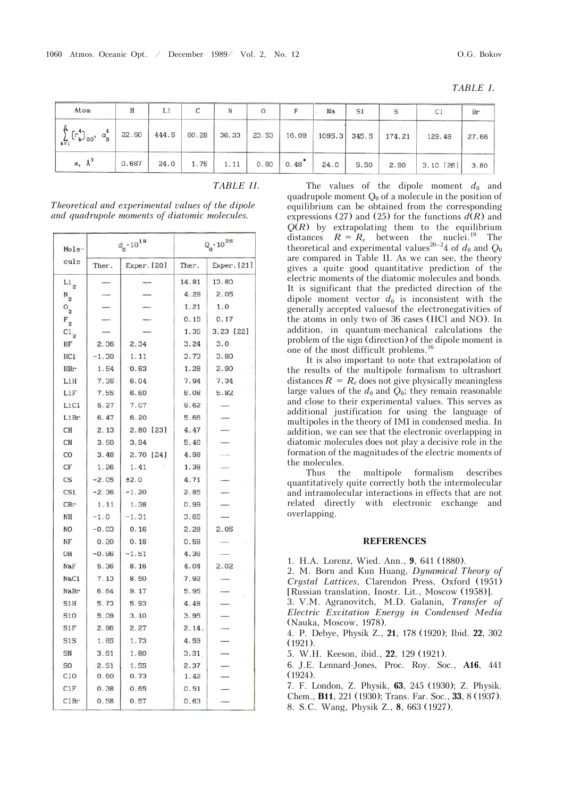|--|--|--|--|--|

| Atom                                                 | Н     | Li    | C     | N    |                   |                       | Na   | Si   |                       | Cl          | Br    |
|------------------------------------------------------|-------|-------|-------|------|-------------------|-----------------------|------|------|-----------------------|-------------|-------|
| $\sum_{k=1}^{8}$ $(r_k^4)_{00}$ , $\alpha_B^4$ 22.50 |       | 444.5 | 60.28 |      | 36.33 23.53 16.09 |                       |      |      | $1095.3$ 345.5 174.21 | 129.49      | 27.66 |
| $\alpha$ , $\lambda^3$                               | 0.667 | 24.0  | 1.75  | 1.11 |                   | $0.80 \mid 0.48$ $^*$ | 24.0 | 5.50 | 2.90                  | $3.10$ [26] | 3.80  |

|--|

| Mole-              |         | $d_0 \cdot 10^{18}$ | $Q_0 \cdot 10^{26}$ |             |  |
|--------------------|---------|---------------------|---------------------|-------------|--|
| cule               | Ther.   | Exper. [20]         | Ther.               | Exper. [21] |  |
| Li <sub>2</sub>    |         |                     | 14.81               | 13.80       |  |
| $N_{2}$            |         |                     | 4.29                | 2.05        |  |
| $\overline{O}_{2}$ |         |                     | 1.21                | 1.0         |  |
| $F_{2}$            |         |                     | 0.15                | 0.17        |  |
| $\overline{c_1}_2$ |         |                     | 1.35                | 3.23 [22]   |  |
| HF                 | 2.36    | 2.34                | 3.24                | 3.0         |  |
| HC1                | $-1.30$ | 1.11                | 3.73                | 3.80        |  |
| HBr                | 1.54    | 0.83                | 1.28                | 2.90        |  |
| LiH                | 7.35    | 6.04                | 7.94                | 7.34        |  |
| LiF                | 7.55    | 6.60                | 6.08                | 5.82        |  |
| LiCl               | 5.27    | 7.07                | 9.62                |             |  |
| LiBr               | 6.47    | 6.20                | 5.66                |             |  |
| CH                 | 2.13    | $2.80$ [23]         | 4.47                |             |  |
| CN                 | 3.50    | 3.94                | 5.46                |             |  |
| CO                 | 3.48    | 2.70 [24]           | 4.98                |             |  |
| CF                 | 1.26    | 1.41                | 1.38                |             |  |
| CS                 | $-2.05$ | ±2.0                | 4.71                |             |  |
| CSi                | $-2.36$ | $-1.20$             | 2.85                |             |  |
| CBr                | 1.11    | 1.38                | 0.99                |             |  |
| NΗ                 | $-1.0$  | $-1.31$             | 3.65                |             |  |
| NO                 | $-0.03$ | 0.16                | 2.28                | 2.05        |  |
| NF                 | 0.20    | 0.18                | 0.58                |             |  |
| OH                 | $-0.96$ | $-1.51$             | 4.36                |             |  |
| NaF                | 5.36    | 8.16                | 4.04                | 2.02        |  |
| NaC1               | 7.13    | 8.50                | 7.92                |             |  |
| NaBr               | 6.64    | 9.17                | 5.95                |             |  |
| SiH                | 5.73    | 5.93                | 4.48                |             |  |
| Si0                | 5.09    | 3.10                | 3.95                |             |  |
| SiF                | 2.96    | 2.27                | 2.14.               |             |  |
| SiS                | 1.65    | 1.73                | 4.59                |             |  |
| SN                 | 3.61    | 1.80                | 3.31                |             |  |
| S <sub>O</sub>     | 2.51    | 1.55                | 2.37                |             |  |
| C10                | 0.60    | 0.73                | 1.42                |             |  |
| CIF                | 0.38    | 0.65                | 0.51                |             |  |
| C1Br               | 0.58    | 0.57                | 0.63                |             |  |

*Theoretical and experimental values of the dipole and quadrupole moments of diatomic molecules.*

equilibrium can be obtained from the corresponding expressions (27) and (25) for the functions  $d(R)$  and  $Q(R)$  by extrapolating them to the equilibrium distances  $R = R_e$  between the nuclei.<sup>19</sup> The theoretical and experimental values<sup>20–2</sup>4 of  $d_0$  and  $Q_0$ are compared in Table II. As we can see, the theory gives a quite good quantitative prediction of the electric moments of the diatomic molecules and bonds. It is significant that the predicted direction of the dipole moment vector  $d_0$  is inconsistent with the generally accepted values of the electronegativities of the atoms in only two of 36 cases (HCl and NO). In addition, in quantum-mechanical calculations the problem of the sign (direction) of the dipole moment is one of the most difficult problems.<sup>16</sup>

The values of the dipole moment  $d_0$  and quadrupole moment  $Q_0$  of a molecule in the position of

It is also important to note that extrapolation of the results of the multipole formalism to ultrashort distances  $R = R_e$  does not give physically meaningless large values of the  $d_0$  and  $Q_0$ ; they remain reasonable and close to their experimental values. This serves as additional justification for using the language of multipoles in the theory of IMI in condensed media. In addition, we can see that the electronic overlapping in diatomic molecules does not play a decisive role in the formation of the magnitudes of the electric moments of the molecules.

Thus the multipole formalism describes quantitatively quite correctly both the intermolecular and intramolecular interactions in effects that are not related directly with electronic exchange and overlapping.

#### **REFERENCES**

1. H.A. Lorenz, Wied. Ann., **9**, 641 (1880).

2. M. Born and Kun Huang, *Dynamical Theory of Crystal Lattices*, Clarendon Press, Oxford (1951) [Russian translation, Inostr. Lit., Moscow (1958)].

3. V.M. Agranovitch, M.D. Galanin*, Transfer of Electric Excitation Energy in Condensed Media*  (Nauka, Moscow, 1978).

4. P. Debye, Physik Z., **21**, 178 (1920); Ibid. **22**, 302 (1921).

5. W.H. Keeson, ibid., **22**, 129 (1921).

6. J.E. Lennard-Jones, Proc. Roy. Soc., **A16**, 441 (1924).

7. F. London, Z. Physik, **63**, 245 (1930); Z. Physik.

Chem., **B11**, 221 (1930); Trans. Far. Soc., **33**, 8 (1937). 8. S.C. Wang, Physik Z., **8**, 663 (1927).